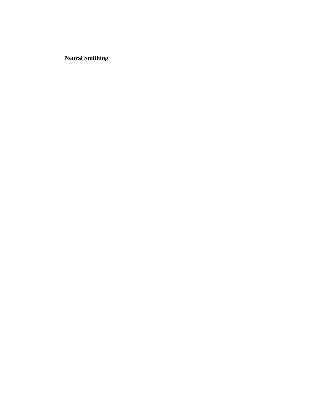**Neural Smithing**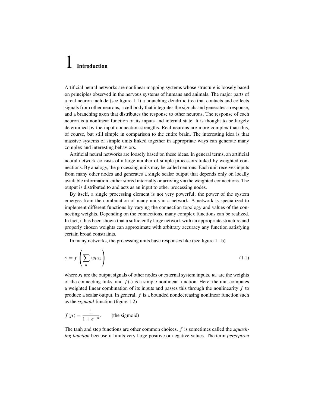## 1 **Introduction**

Artificial neural networks are nonlinear mapping systems whose structure is loosely based [on principles observed in the nervous systems of humans and animals. The major parts of](#page--1-0) a real neuron include (see figure 1.1) a branching dendritic tree that contacts and collects signals from other neurons, a cell body that integrates the signals and generates a response, and a branching axon that distributes the response to other neurons. The response of each neuron is a nonlinear function of its inputs and internal state. It is thought to be largely determined by the input connection strengths. Real neurons are more complex than this, of course, but still simple in comparison to the entire brain. The interesting idea is that massive systems of simple units linked together in appropriate ways can generate many complex and interesting behaviors.

Artificial neural networks are loosely based on these ideas. In general terms, an artificial neural network consists of a large number of simple processors linked by weighted connections. By analogy, the processing units may be called neurons. Each unit receives inputs from many other nodes and generates a single scalar output that depends only on locally available information, either stored internally or arriving via the weighted connections. The output is distributed to and acts as an input to other processing nodes.

By itself, a single processing element is not very powerful; the power of the system emerges from the combination of many units in a network. A network is specialized to implement different functions by varying the connection topology and values of the connecting weights. Depending on the connections, many complex functions can be realized. In fact, it has been shown that a sufficiently large network with an appropriate structure and properly chosen weights can approximate with arbitrary accuracy any function satisfying certain broad constraints.

In many networks, the processing units have responses like (see figure 1.1b)

$$
y = f\left(\sum_{k} w_k x_k\right) \tag{1.1}
$$

where  $x_k$  are the output signals of other nodes or external system inputs,  $w_k$  are the weights of the connecting links, and  $f(\cdot)$  is a simple nonlinear function. Here, the unit computes a weighted linear combination of its inputs and passes this through the nonlinearity *f* to produce a scalar output. In general, *f* is a bounded nondecreasing nonlinear function such as the *sigmoid* function (figure 1.2)

$$
f(\mu) = \frac{1}{1 + e^{-\mu}}.
$$
 (the sigmoid)

The tanh and step functions are other common choices. *f* is sometimes called the *squashing function* because it limits very large positive or negative values. The term *perceptron*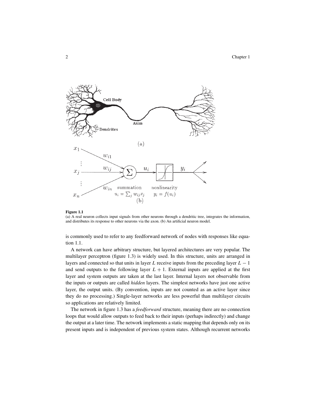

## **Figure 1.1**

(a) A real neuron collects input signals from other neurons through a dendritic tree, integrates the information, and distributes its response to other neurons via the axon. (b) An artificial neuron model.

is commonly used to refer to any feedforward network of nodes with responses like equation 1.1.

A network can have arbitrary structure, but layered architectures are very popular. The multilayer perceptron (figure 1.3) is widely used. In this structure, units are arranged in layers and connected so that units in layer *L* receive inputs from the preceding layer *L* − 1 and send outputs to the following layer  $L + 1$ . External inputs are applied at the first layer and system outputs are taken at the last layer. Internal layers not observable from the inputs or outputs are called *hidden* layers. The simplest networks have just one active layer, the output units. (By convention, inputs are not counted as an active layer since they do no processing.) Single-layer networks are less powerful than multilayer circuits so applications are relatively limited.

The network in figure 1.3 has a *feedforward* structure, meaning there are no connection loops that would allow outputs to feed back to their inputs (perhaps indirectly) and change the output at a later time. The network implements a static mapping that depends only on its present inputs and is independent of previous system states. Although recurrent networks